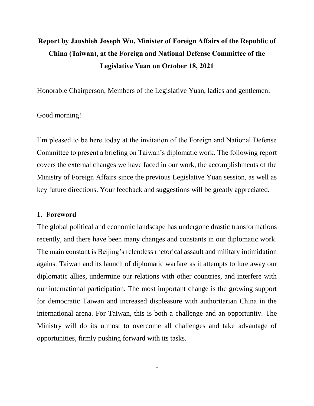# **Report by Jaushieh Joseph Wu, Minister of Foreign Affairs of the Republic of China (Taiwan), at the Foreign and National Defense Committee of the Legislative Yuan on October 18, 2021**

Honorable Chairperson, Members of the Legislative Yuan, ladies and gentlemen:

#### Good morning!

I'm pleased to be here today at the invitation of the Foreign and National Defense Committee to present a briefing on Taiwan's diplomatic work. The following report covers the external changes we have faced in our work, the accomplishments of the Ministry of Foreign Affairs since the previous Legislative Yuan session, as well as key future directions. Your feedback and suggestions will be greatly appreciated.

#### **1. Foreword**

The global political and economic landscape has undergone drastic transformations recently, and there have been many changes and constants in our diplomatic work. The main constant is Beijing's relentless rhetorical assault and military intimidation against Taiwan and its launch of diplomatic warfare as it attempts to lure away our diplomatic allies, undermine our relations with other countries, and interfere with our international participation. The most important change is the growing support for democratic Taiwan and increased displeasure with authoritarian China in the international arena. For Taiwan, this is both a challenge and an opportunity. The Ministry will do its utmost to overcome all challenges and take advantage of opportunities, firmly pushing forward with its tasks.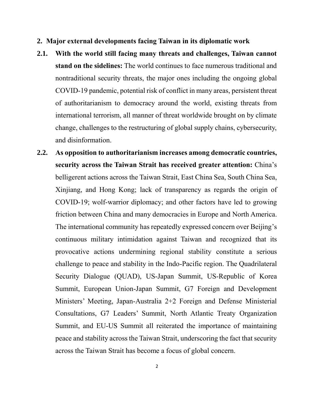- **2. Major external developments facing Taiwan in its diplomatic work**
- **2.1. With the world still facing many threats and challenges, Taiwan cannot stand on the sidelines:** The world continues to face numerous traditional and nontraditional security threats, the major ones including the ongoing global COVID-19 pandemic, potential risk of conflict in many areas, persistent threat of authoritarianism to democracy around the world, existing threats from international terrorism, all manner of threat worldwide brought on by climate change, challenges to the restructuring of global supply chains, cybersecurity, and disinformation.
- **2.2. As opposition to authoritarianism increases among democratic countries, security across the Taiwan Strait has received greater attention:** China's belligerent actions across the Taiwan Strait, East China Sea, South China Sea, Xinjiang, and Hong Kong; lack of transparency as regards the origin of COVID-19; wolf-warrior diplomacy; and other factors have led to growing friction between China and many democracies in Europe and North America. The international community has repeatedly expressed concern over Beijing's continuous military intimidation against Taiwan and recognized that its provocative actions undermining regional stability constitute a serious challenge to peace and stability in the Indo-Pacific region. The Quadrilateral Security Dialogue (QUAD), US-Japan Summit, US-Republic of Korea Summit, European Union-Japan Summit, G7 Foreign and Development Ministers' Meeting, Japan-Australia 2+2 Foreign and Defense Ministerial Consultations, G7 Leaders' Summit, North Atlantic Treaty Organization Summit, and EU-US Summit all reiterated the importance of maintaining peace and stability across the Taiwan Strait, underscoring the fact that security across the Taiwan Strait has become a focus of global concern.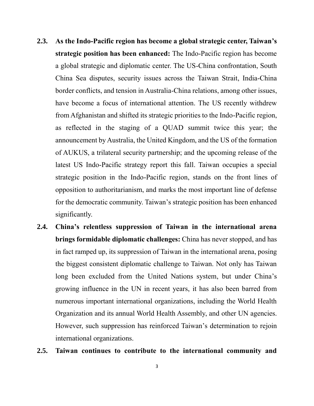- **2.3. As the Indo-Pacific region has become a global strategic center, Taiwan's strategic position has been enhanced:** The Indo-Pacific region has become a global strategic and diplomatic center. The US-China confrontation, South China Sea disputes, security issues across the Taiwan Strait, India-China border conflicts, and tension in Australia-China relations, among other issues, have become a focus of international attention. The US recently withdrew from Afghanistan and shifted its strategic priorities to the Indo-Pacific region, as reflected in the staging of a QUAD summit twice this year; the announcement by Australia, the United Kingdom, and the US of the formation of AUKUS, a trilateral security partnership; and the upcoming release of the latest US Indo-Pacific strategy report this fall. Taiwan occupies a special strategic position in the Indo-Pacific region, stands on the front lines of opposition to authoritarianism, and marks the most important line of defense for the democratic community. Taiwan's strategic position has been enhanced significantly.
- **2.4. China's relentless suppression of Taiwan in the international arena brings formidable diplomatic challenges:** China has never stopped, and has in fact ramped up, its suppression of Taiwan in the international arena, posing the biggest consistent diplomatic challenge to Taiwan. Not only has Taiwan long been excluded from the United Nations system, but under China's growing influence in the UN in recent years, it has also been barred from numerous important international organizations, including the World Health Organization and its annual World Health Assembly, and other UN agencies. However, such suppression has reinforced Taiwan's determination to rejoin international organizations.

## **2.5. Taiwan continues to contribute to the international community and**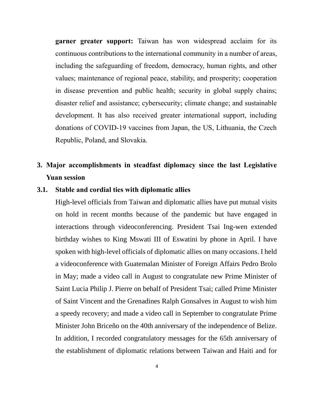**garner greater support:** Taiwan has won widespread acclaim for its continuous contributions to the international community in a number of areas, including the safeguarding of freedom, democracy, human rights, and other values; maintenance of regional peace, stability, and prosperity; cooperation in disease prevention and public health; security in global supply chains; disaster relief and assistance; cybersecurity; climate change; and sustainable development. It has also received greater international support, including donations of COVID-19 vaccines from Japan, the US, Lithuania, the Czech Republic, Poland, and Slovakia.

## **3. Major accomplishments in steadfast diplomacy since the last Legislative Yuan session**

## **3.1. Stable and cordial ties with diplomatic allies**

High-level officials from Taiwan and diplomatic allies have put mutual visits on hold in recent months because of the pandemic but have engaged in interactions through videoconferencing. President Tsai Ing-wen extended birthday wishes to King Mswati III of Eswatini by phone in April. I have spoken with high-level officials of diplomatic allies on many occasions. I held a videoconference with Guatemalan Minister of Foreign Affairs Pedro Brolo in May; made a video call in August to congratulate new Prime Minister of Saint Lucia Philip J. Pierre on behalf of President Tsai; called Prime Minister of Saint Vincent and the Grenadines Ralph Gonsalves in August to wish him a speedy recovery; and made a video call in September to congratulate Prime Minister John Briceño on the 40th anniversary of the independence of Belize. In addition, I recorded congratulatory messages for the 65th anniversary of the establishment of diplomatic relations between Taiwan and Haiti and for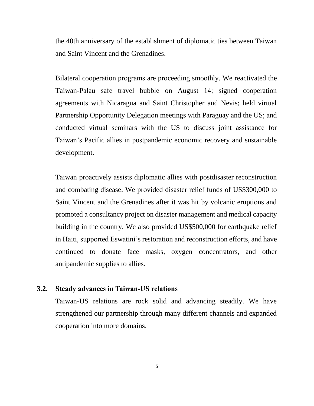the 40th anniversary of the establishment of diplomatic ties between Taiwan and Saint Vincent and the Grenadines.

Bilateral cooperation programs are proceeding smoothly. We reactivated the Taiwan-Palau safe travel bubble on August 14; signed cooperation agreements with Nicaragua and Saint Christopher and Nevis; held virtual Partnership Opportunity Delegation meetings with Paraguay and the US; and conducted virtual seminars with the US to discuss joint assistance for Taiwan's Pacific allies in postpandemic economic recovery and sustainable development.

Taiwan proactively assists diplomatic allies with postdisaster reconstruction and combating disease. We provided disaster relief funds of US\$300,000 to Saint Vincent and the Grenadines after it was hit by volcanic eruptions and promoted a consultancy project on disaster management and medical capacity building in the country. We also provided US\$500,000 for earthquake relief in Haiti, supported Eswatini's restoration and reconstruction efforts, and have continued to donate face masks, oxygen concentrators, and other antipandemic supplies to allies.

#### **3.2. Steady advances in Taiwan-US relations**

Taiwan-US relations are rock solid and advancing steadily. We have strengthened our partnership through many different channels and expanded cooperation into more domains.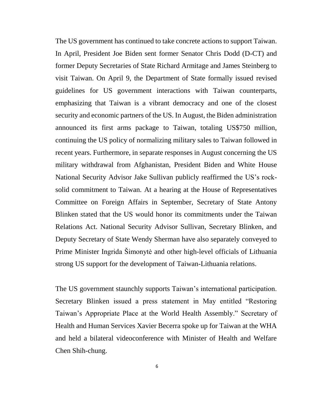The US government has continued to take concrete actions to support Taiwan. In April, President Joe Biden sent former Senator Chris Dodd (D-CT) and former Deputy Secretaries of State Richard Armitage and James Steinberg to visit Taiwan. On April 9, the Department of State formally issued revised guidelines for US government interactions with Taiwan counterparts, emphasizing that Taiwan is a vibrant democracy and one of the closest security and economic partners of the US. In August, the Biden administration announced its first arms package to Taiwan, totaling US\$750 million, continuing the US policy of normalizing military sales to Taiwan followed in recent years. Furthermore, in separate responses in August concerning the US military withdrawal from Afghanistan, President Biden and White House National Security Advisor Jake Sullivan publicly reaffirmed the US's rocksolid commitment to Taiwan. At a hearing at the House of Representatives Committee on Foreign Affairs in September, Secretary of State Antony Blinken stated that the US would honor its commitments under the Taiwan Relations Act. National Security Advisor Sullivan, Secretary Blinken, and Deputy Secretary of State Wendy Sherman have also separately conveyed to Prime Minister Ingrida Šimonytė and other high-level officials of Lithuania strong US support for the development of Taiwan-Lithuania relations.

The US government staunchly supports Taiwan's international participation. Secretary Blinken issued a press statement in May entitled "Restoring Taiwan's Appropriate Place at the World Health Assembly." Secretary of Health and Human Services Xavier Becerra spoke up for Taiwan at the WHA and held a bilateral videoconference with Minister of Health and Welfare Chen Shih-chung.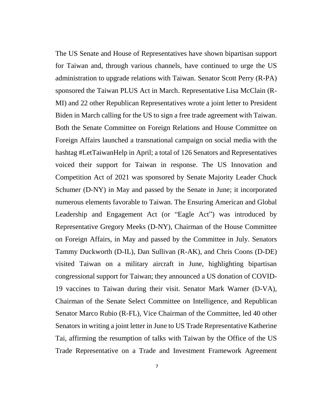The US Senate and House of Representatives have shown bipartisan support for Taiwan and, through various channels, have continued to urge the US administration to upgrade relations with Taiwan. Senator Scott Perry (R-PA) sponsored the Taiwan PLUS Act in March. Representative Lisa McClain (R-MI) and 22 other Republican Representatives wrote a joint letter to President Biden in March calling for the US to sign a free trade agreement with Taiwan. Both the Senate Committee on Foreign Relations and House Committee on Foreign Affairs launched a transnational campaign on social media with the hashtag #LetTaiwanHelp in April; a total of 126 Senators and Representatives voiced their support for Taiwan in response. The US Innovation and Competition Act of 2021 was sponsored by Senate Majority Leader Chuck Schumer (D-NY) in May and passed by the Senate in June; it incorporated numerous elements favorable to Taiwan. The Ensuring American and Global Leadership and Engagement Act (or "Eagle Act") was introduced by Representative Gregory Meeks (D-NY), Chairman of the House Committee on Foreign Affairs, in May and passed by the Committee in July. Senators Tammy Duckworth (D-IL), Dan Sullivan (R-AK), and Chris Coons (D-DE) visited Taiwan on a military aircraft in June, highlighting bipartisan congressional support for Taiwan; they announced a US donation of COVID-19 vaccines to Taiwan during their visit. Senator Mark Warner (D-VA), Chairman of the Senate Select Committee on Intelligence, and Republican Senator Marco Rubio (R-FL), Vice Chairman of the Committee, led 40 other Senators in writing a joint letter in June to US Trade Representative Katherine Tai, affirming the resumption of talks with Taiwan by the Office of the US Trade Representative on a Trade and Investment Framework Agreement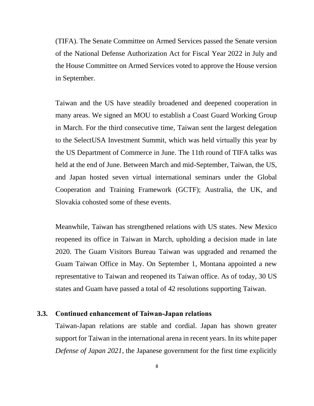(TIFA). The Senate Committee on Armed Services passed the Senate version of the National Defense Authorization Act for Fiscal Year 2022 in July and the House Committee on Armed Services voted to approve the House version in September.

Taiwan and the US have steadily broadened and deepened cooperation in many areas. We signed an MOU to establish a Coast Guard Working Group in March. For the third consecutive time, Taiwan sent the largest delegation to the SelectUSA Investment Summit, which was held virtually this year by the US Department of Commerce in June. The 11th round of TIFA talks was held at the end of June. Between March and mid-September, Taiwan, the US, and Japan hosted seven virtual international seminars under the Global Cooperation and Training Framework (GCTF); Australia, the UK, and Slovakia cohosted some of these events.

Meanwhile, Taiwan has strengthened relations with US states. New Mexico reopened its office in Taiwan in March, upholding a decision made in late 2020. The Guam Visitors Bureau Taiwan was upgraded and renamed the Guam Taiwan Office in May. On September 1, Montana appointed a new representative to Taiwan and reopened its Taiwan office. As of today, 30 US states and Guam have passed a total of 42 resolutions supporting Taiwan.

## **3.3. Continued enhancement of Taiwan-Japan relations**

Taiwan-Japan relations are stable and cordial. Japan has shown greater support for Taiwan in the international arena in recent years. In its white paper *Defense of Japan 2021*, the Japanese government for the first time explicitly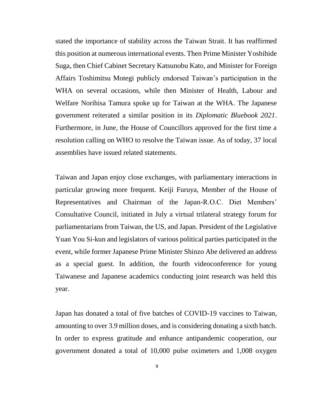stated the importance of stability across the Taiwan Strait. It has reaffirmed this position at numerous international events. Then Prime Minister Yoshihide Suga, then Chief Cabinet Secretary Katsunobu Kato, and Minister for Foreign Affairs Toshimitsu Motegi publicly endorsed Taiwan's participation in the WHA on several occasions, while then Minister of Health, Labour and Welfare Norihisa Tamura spoke up for Taiwan at the WHA. The Japanese government reiterated a similar position in its *Diplomatic Bluebook 2021*. Furthermore, in June, the House of Councillors approved for the first time a resolution calling on WHO to resolve the Taiwan issue. As of today, 37 local assemblies have issued related statements.

Taiwan and Japan enjoy close exchanges, with parliamentary interactions in particular growing more frequent. Keiji Furuya, Member of the House of Representatives and Chairman of the Japan-R.O.C. Diet Members' Consultative Council, initiated in July a virtual trilateral strategy forum for parliamentarians from Taiwan, the US, and Japan. President of the Legislative Yuan You Si-kun and legislators of various political parties participated in the event, while former Japanese Prime Minister Shinzo Abe delivered an address as a special guest. In addition, the fourth videoconference for young Taiwanese and Japanese academics conducting joint research was held this year.

Japan has donated a total of five batches of COVID-19 vaccines to Taiwan, amounting to over 3.9 million doses, and is considering donating a sixth batch. In order to express gratitude and enhance antipandemic cooperation, our government donated a total of 10,000 pulse oximeters and 1,008 oxygen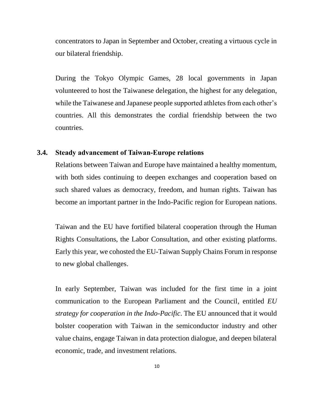concentrators to Japan in September and October, creating a virtuous cycle in our bilateral friendship.

During the Tokyo Olympic Games, 28 local governments in Japan volunteered to host the Taiwanese delegation, the highest for any delegation, while the Taiwanese and Japanese people supported athletes from each other's countries. All this demonstrates the cordial friendship between the two countries.

#### **3.4. Steady advancement of Taiwan-Europe relations**

Relations between Taiwan and Europe have maintained a healthy momentum, with both sides continuing to deepen exchanges and cooperation based on such shared values as democracy, freedom, and human rights. Taiwan has become an important partner in the Indo-Pacific region for European nations.

Taiwan and the EU have fortified bilateral cooperation through the Human Rights Consultations, the Labor Consultation, and other existing platforms. Early this year, we cohosted the EU-Taiwan Supply Chains Forum in response to new global challenges.

In early September, Taiwan was included for the first time in a joint communication to the European Parliament and the Council, entitled *EU strategy for cooperation in the Indo-Pacific*. The EU announced that it would bolster cooperation with Taiwan in the semiconductor industry and other value chains, engage Taiwan in data protection dialogue, and deepen bilateral economic, trade, and investment relations.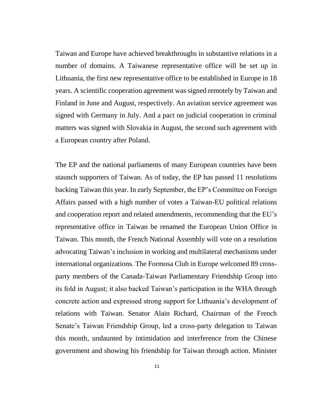Taiwan and Europe have achieved breakthroughs in substantive relations in a number of domains. A Taiwanese representative office will be set up in Lithuania, the first new representative office to be established in Europe in 18 years. A scientific cooperation agreement was signed remotely by Taiwan and Finland in June and August, respectively. An aviation service agreement was signed with Germany in July. And a pact on judicial cooperation in criminal matters was signed with Slovakia in August, the second such agreement with a European country after Poland.

The EP and the national parliaments of many European countries have been staunch supporters of Taiwan. As of today, the EP has passed 11 resolutions backing Taiwan this year. In early September, the EP's Committee on Foreign Affairs passed with a high number of votes a Taiwan-EU political relations and cooperation report and related amendments, recommending that the EU's representative office in Taiwan be renamed the European Union Office in Taiwan. This month, the French National Assembly will vote on a resolution advocating Taiwan's inclusion in working and multilateral mechanisms under international organizations. The Formosa Club in Europe welcomed 89 crossparty members of the Canada-Taiwan Parliamentary Friendship Group into its fold in August; it also backed Taiwan's participation in the WHA through concrete action and expressed strong support for Lithuania's development of relations with Taiwan. Senator Alain Richard, Chairman of the French Senate's Taiwan Friendship Group, led a cross-party delegation to Taiwan this month, undaunted by intimidation and interference from the Chinese government and showing his friendship for Taiwan through action. Minister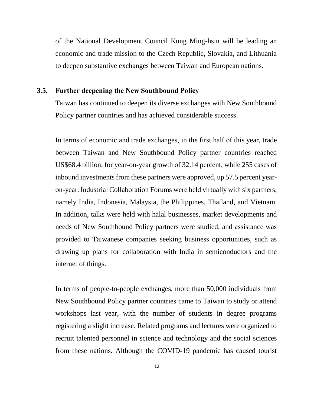of the National Development Council Kung Ming-hsin will be leading an economic and trade mission to the Czech Republic, Slovakia, and Lithuania to deepen substantive exchanges between Taiwan and European nations.

#### **3.5. Further deepening the New Southbound Policy**

Taiwan has continued to deepen its diverse exchanges with New Southbound Policy partner countries and has achieved considerable success.

In terms of economic and trade exchanges, in the first half of this year, trade between Taiwan and New Southbound Policy partner countries reached US\$68.4 billion, for year-on-year growth of 32.14 percent, while 255 cases of inbound investments from these partners were approved, up 57.5 percent yearon-year. Industrial Collaboration Forums were held virtually with six partners, namely India, Indonesia, Malaysia, the Philippines, Thailand, and Vietnam. In addition, talks were held with halal businesses, market developments and needs of New Southbound Policy partners were studied, and assistance was provided to Taiwanese companies seeking business opportunities, such as drawing up plans for collaboration with India in semiconductors and the internet of things.

In terms of people-to-people exchanges, more than 50,000 individuals from New Southbound Policy partner countries came to Taiwan to study or attend workshops last year, with the number of students in degree programs registering a slight increase. Related programs and lectures were organized to recruit talented personnel in science and technology and the social sciences from these nations. Although the COVID-19 pandemic has caused tourist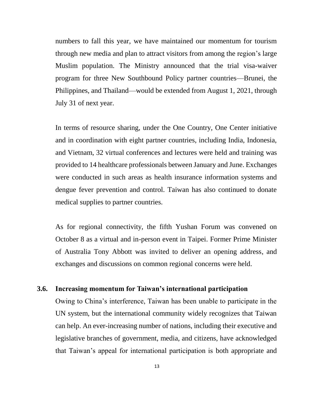numbers to fall this year, we have maintained our momentum for tourism through new media and plan to attract visitors from among the region's large Muslim population. The Ministry announced that the trial visa-waiver program for three New Southbound Policy partner countries—Brunei, the Philippines, and Thailand—would be extended from August 1, 2021, through July 31 of next year.

In terms of resource sharing, under the One Country, One Center initiative and in coordination with eight partner countries, including India, Indonesia, and Vietnam, 32 virtual conferences and lectures were held and training was provided to 14 healthcare professionals between January and June. Exchanges were conducted in such areas as health insurance information systems and dengue fever prevention and control. Taiwan has also continued to donate medical supplies to partner countries.

As for regional connectivity, the fifth Yushan Forum was convened on October 8 as a virtual and in-person event in Taipei. Former Prime Minister of Australia Tony Abbott was invited to deliver an opening address, and exchanges and discussions on common regional concerns were held.

#### **3.6. Increasing momentum for Taiwan's international participation**

Owing to China's interference, Taiwan has been unable to participate in the UN system, but the international community widely recognizes that Taiwan can help. An ever-increasing number of nations, including their executive and legislative branches of government, media, and citizens, have acknowledged that Taiwan's appeal for international participation is both appropriate and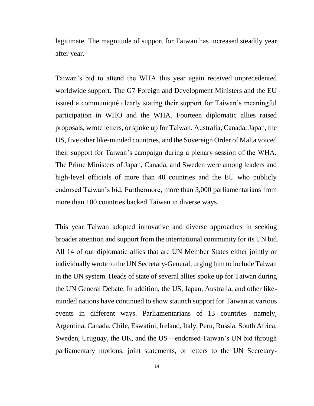legitimate. The magnitude of support for Taiwan has increased steadily year after year.

Taiwan's bid to attend the WHA this year again received unprecedented worldwide support. The G7 Foreign and Development Ministers and the EU issued a communiqué clearly stating their support for Taiwan's meaningful participation in WHO and the WHA. Fourteen diplomatic allies raised proposals, wrote letters, or spoke up for Taiwan. Australia, Canada, Japan, the US, five other like-minded countries, and the Sovereign Order of Malta voiced their support for Taiwan's campaign during a plenary session of the WHA. The Prime Ministers of Japan, Canada, and Sweden were among leaders and high-level officials of more than 40 countries and the EU who publicly endorsed Taiwan's bid. Furthermore, more than 3,000 parliamentarians from more than 100 countries backed Taiwan in diverse ways.

This year Taiwan adopted innovative and diverse approaches in seeking broader attention and support from the international community for its UN bid. All 14 of our diplomatic allies that are UN Member States either jointly or individually wrote to the UN Secretary-General, urging him to include Taiwan in the UN system. Heads of state of several allies spoke up for Taiwan during the UN General Debate. In addition, the US, Japan, Australia, and other likeminded nations have continued to show staunch support for Taiwan at various events in different ways. Parliamentarians of 13 countries—namely, Argentina, Canada, Chile, Eswatini, Ireland, Italy, Peru, Russia, South Africa, Sweden, Uruguay, the UK, and the US—endorsed Taiwan's UN bid through parliamentary motions, joint statements, or letters to the UN Secretary-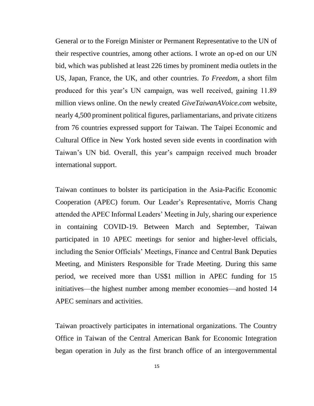General or to the Foreign Minister or Permanent Representative to the UN of their respective countries, among other actions. I wrote an op-ed on our UN bid, which was published at least 226 times by prominent media outlets in the US, Japan, France, the UK, and other countries. *To Freedom*, a short film produced for this year's UN campaign, was well received, gaining 11.89 million views online. On the newly created *GiveTaiwanAVoice.com* website, nearly 4,500 prominent political figures, parliamentarians, and private citizens from 76 countries expressed support for Taiwan. The Taipei Economic and Cultural Office in New York hosted seven side events in coordination with Taiwan's UN bid. Overall, this year's campaign received much broader international support.

Taiwan continues to bolster its participation in the Asia-Pacific Economic Cooperation (APEC) forum. Our Leader's Representative, Morris Chang attended the APEC Informal Leaders' Meeting in July, sharing our experience in containing COVID-19. Between March and September, Taiwan participated in 10 APEC meetings for senior and higher-level officials, including the Senior Officials' Meetings, Finance and Central Bank Deputies Meeting, and Ministers Responsible for Trade Meeting. During this same period, we received more than US\$1 million in APEC funding for 15 initiatives—the highest number among member economies—and hosted 14 APEC seminars and activities.

Taiwan proactively participates in international organizations. The Country Office in Taiwan of the Central American Bank for Economic Integration began operation in July as the first branch office of an intergovernmental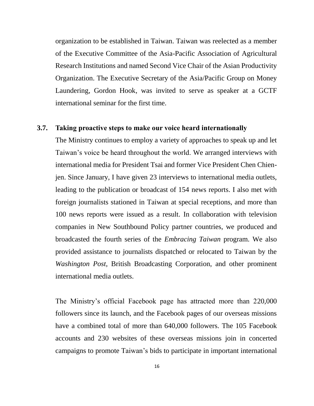organization to be established in Taiwan. Taiwan was reelected as a member of the Executive Committee of the Asia-Pacific Association of Agricultural Research Institutions and named Second Vice Chair of the Asian Productivity Organization. The Executive Secretary of the Asia/Pacific Group on Money Laundering, Gordon Hook, was invited to serve as speaker at a GCTF international seminar for the first time.

### **3.7. Taking proactive steps to make our voice heard internationally**

The Ministry continues to employ a variety of approaches to speak up and let Taiwan's voice be heard throughout the world. We arranged interviews with international media for President Tsai and former Vice President Chen Chienjen. Since January, I have given 23 interviews to international media outlets, leading to the publication or broadcast of 154 news reports. I also met with foreign journalists stationed in Taiwan at special receptions, and more than 100 news reports were issued as a result. In collaboration with television companies in New Southbound Policy partner countries, we produced and broadcasted the fourth series of the *Embracing Taiwan* program. We also provided assistance to journalists dispatched or relocated to Taiwan by the *Washington Post*, British Broadcasting Corporation, and other prominent international media outlets.

The Ministry's official Facebook page has attracted more than 220,000 followers since its launch, and the Facebook pages of our overseas missions have a combined total of more than 640,000 followers. The 105 Facebook accounts and 230 websites of these overseas missions join in concerted campaigns to promote Taiwan's bids to participate in important international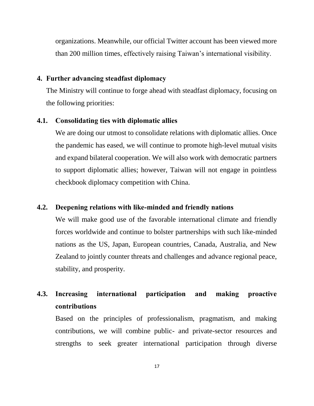organizations. Meanwhile, our official Twitter account has been viewed more than 200 million times, effectively raising Taiwan's international visibility.

#### **4. Further advancing steadfast diplomacy**

The Ministry will continue to forge ahead with steadfast diplomacy, focusing on the following priorities:

#### **4.1. Consolidating ties with diplomatic allies**

We are doing our utmost to consolidate relations with diplomatic allies. Once the pandemic has eased, we will continue to promote high-level mutual visits and expand bilateral cooperation. We will also work with democratic partners to support diplomatic allies; however, Taiwan will not engage in pointless checkbook diplomacy competition with China.

## **4.2. Deepening relations with like-minded and friendly nations**

We will make good use of the favorable international climate and friendly forces worldwide and continue to bolster partnerships with such like-minded nations as the US, Japan, European countries, Canada, Australia, and New Zealand to jointly counter threats and challenges and advance regional peace, stability, and prosperity.

## **4.3. Increasing international participation and making proactive contributions**

Based on the principles of professionalism, pragmatism, and making contributions, we will combine public- and private-sector resources and strengths to seek greater international participation through diverse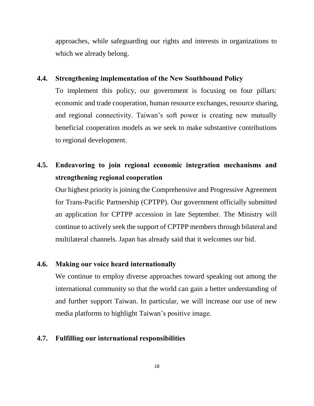approaches, while safeguarding our rights and interests in organizations to which we already belong.

## **4.4. Strengthening implementation of the New Southbound Policy**

To implement this policy, our government is focusing on four pillars: economic and trade cooperation, human resource exchanges, resource sharing, and regional connectivity. Taiwan's soft power is creating new mutually beneficial cooperation models as we seek to make substantive contributions to regional development.

## **4.5. Endeavoring to join regional economic integration mechanisms and strengthening regional cooperation**

Our highest priority is joining the Comprehensive and Progressive Agreement for Trans-Pacific Partnership (CPTPP). Our government officially submitted an application for CPTPP accession in late September. The Ministry will continue to actively seek the support of CPTPP members through bilateral and multilateral channels. Japan has already said that it welcomes our bid.

## **4.6. Making our voice heard internationally**

We continue to employ diverse approaches toward speaking out among the international community so that the world can gain a better understanding of and further support Taiwan. In particular, we will increase our use of new media platforms to highlight Taiwan's positive image.

## **4.7. Fulfilling our international responsibilities**